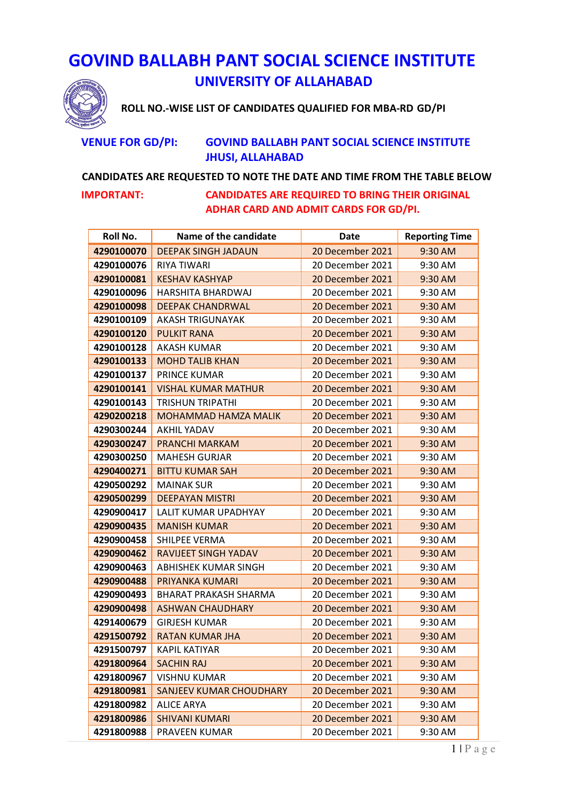## **GOVIND BALLABH PANT SOCIAL SCIENCE INSTITUTE UNIVERSITY OF ALLAHABAD**



**ROLL NO.-WISE LIST OF CANDIDATES QUALIFIED FOR MBA-RD GD/PI** 

## **VENUE FOR GD/PI: GOVIND BALLABH PANT SOCIAL SCIENCE INSTITUTE JHUSI, ALLAHABAD**

## **CANDIDATES ARE REQUESTED TO NOTE THE DATE AND TIME FROM THE TABLE BELOW**

**IMPORTANT: CANDIDATES ARE REQUIRED TO BRING THEIR ORIGINAL ADHAR CARD AND ADMIT CARDS FOR GD/PI.** 

| Roll No.   | Name of the candidate          | Date             | <b>Reporting Time</b> |
|------------|--------------------------------|------------------|-----------------------|
| 4290100070 | <b>DEEPAK SINGH JADAUN</b>     | 20 December 2021 | 9:30 AM               |
| 4290100076 | <b>RIYA TIWARI</b>             | 20 December 2021 | 9:30 AM               |
| 4290100081 | <b>KESHAV KASHYAP</b>          | 20 December 2021 | 9:30 AM               |
| 4290100096 | HARSHITA BHARDWAJ              | 20 December 2021 | 9:30 AM               |
| 4290100098 | <b>DEEPAK CHANDRWAL</b>        | 20 December 2021 | 9:30 AM               |
| 4290100109 | AKASH TRIGUNAYAK               | 20 December 2021 | 9:30 AM               |
| 4290100120 | <b>PULKIT RANA</b>             | 20 December 2021 | 9:30 AM               |
| 4290100128 | <b>AKASH KUMAR</b>             | 20 December 2021 | 9:30 AM               |
| 4290100133 | <b>MOHD TALIB KHAN</b>         | 20 December 2021 | 9:30 AM               |
| 4290100137 | PRINCE KUMAR                   | 20 December 2021 | 9:30 AM               |
| 4290100141 | <b>VISHAL KUMAR MATHUR</b>     | 20 December 2021 | 9:30 AM               |
| 4290100143 | <b>TRISHUN TRIPATHI</b>        | 20 December 2021 | 9:30 AM               |
| 4290200218 | <b>MOHAMMAD HAMZA MALIK</b>    | 20 December 2021 | 9:30 AM               |
| 4290300244 | <b>AKHIL YADAV</b>             | 20 December 2021 | 9:30 AM               |
| 4290300247 | <b>PRANCHI MARKAM</b>          | 20 December 2021 | 9:30 AM               |
| 4290300250 | <b>MAHESH GURJAR</b>           | 20 December 2021 | 9:30 AM               |
| 4290400271 | <b>BITTU KUMAR SAH</b>         | 20 December 2021 | 9:30 AM               |
| 4290500292 | <b>MAINAK SUR</b>              | 20 December 2021 | 9:30 AM               |
| 4290500299 | <b>DEEPAYAN MISTRI</b>         | 20 December 2021 | 9:30 AM               |
| 4290900417 | LALIT KUMAR UPADHYAY           | 20 December 2021 | 9:30 AM               |
| 4290900435 | <b>MANISH KUMAR</b>            | 20 December 2021 | 9:30 AM               |
| 4290900458 | SHILPEE VERMA                  | 20 December 2021 | 9:30 AM               |
| 4290900462 | <b>RAVIJEET SINGH YADAV</b>    | 20 December 2021 | 9:30 AM               |
| 4290900463 | ABHISHEK KUMAR SINGH           | 20 December 2021 | 9:30 AM               |
| 4290900488 | PRIYANKA KUMARI                | 20 December 2021 | 9:30 AM               |
| 4290900493 | BHARAT PRAKASH SHARMA          | 20 December 2021 | 9:30 AM               |
| 4290900498 | <b>ASHWAN CHAUDHARY</b>        | 20 December 2021 | 9:30 AM               |
| 4291400679 | <b>GIRJESH KUMAR</b>           | 20 December 2021 | 9:30 AM               |
| 4291500792 | <b>RATAN KUMAR JHA</b>         | 20 December 2021 | 9:30 AM               |
| 4291500797 | <b>KAPIL KATIYAR</b>           | 20 December 2021 | 9:30 AM               |
| 4291800964 | <b>SACHIN RAJ</b>              | 20 December 2021 | 9:30 AM               |
| 4291800967 | <b>VISHNU KUMAR</b>            | 20 December 2021 | 9:30 AM               |
| 4291800981 | <b>SANJEEV KUMAR CHOUDHARY</b> | 20 December 2021 | 9:30 AM               |
| 4291800982 | <b>ALICE ARYA</b>              | 20 December 2021 | 9:30 AM               |
| 4291800986 | <b>SHIVANI KUMARI</b>          | 20 December 2021 | 9:30 AM               |
| 4291800988 | PRAVEEN KUMAR                  | 20 December 2021 | 9:30 AM               |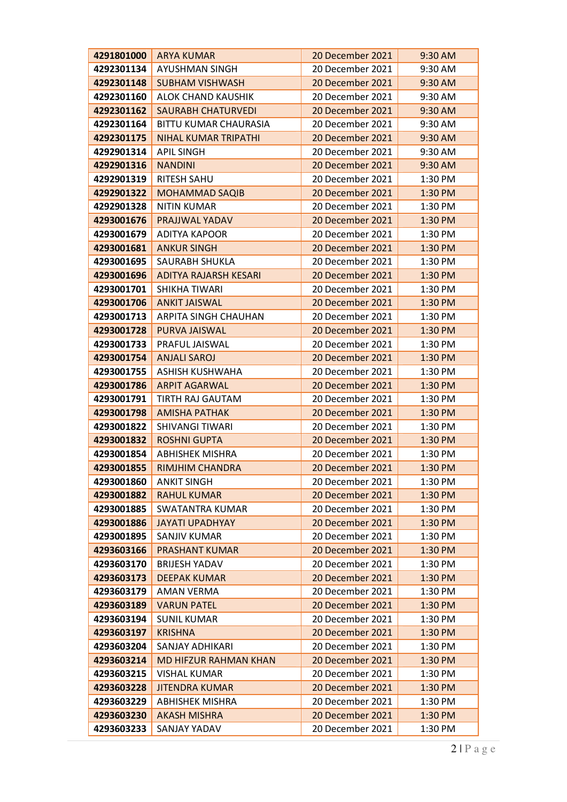| 4291801000               | <b>ARYA KUMAR</b>                      | 20 December 2021                     | 9:30 AM            |
|--------------------------|----------------------------------------|--------------------------------------|--------------------|
| 4292301134               | <b>AYUSHMAN SINGH</b>                  | 20 December 2021                     | 9:30 AM            |
| 4292301148               | <b>SUBHAM VISHWASH</b>                 | 20 December 2021                     | 9:30 AM            |
| 4292301160               | ALOK CHAND KAUSHIK                     | 20 December 2021                     | 9:30 AM            |
| 4292301162               | <b>SAURABH CHATURVEDI</b>              | 20 December 2021                     | 9:30 AM            |
| 4292301164               | BITTU KUMAR CHAURASIA                  | 20 December 2021                     | 9:30 AM            |
| 4292301175               | <b>NIHAL KUMAR TRIPATHI</b>            | 20 December 2021                     | 9:30 AM            |
| 4292901314               | <b>APIL SINGH</b>                      | 20 December 2021                     | 9:30 AM            |
| 4292901316               | <b>NANDINI</b>                         | 20 December 2021                     | 9:30 AM            |
| 4292901319               | RITESH SAHU                            | 20 December 2021                     | 1:30 PM            |
| 4292901322               | <b>MOHAMMAD SAQIB</b>                  | 20 December 2021                     | 1:30 PM            |
| 4292901328               | <b>NITIN KUMAR</b>                     | 20 December 2021                     | 1:30 PM            |
| 4293001676               | PRAJJWAL YADAV                         | 20 December 2021                     | 1:30 PM            |
| 4293001679               | <b>ADITYA KAPOOR</b>                   | 20 December 2021                     | 1:30 PM            |
| 4293001681               | <b>ANKUR SINGH</b>                     | 20 December 2021                     | 1:30 PM            |
| 4293001695               | SAURABH SHUKLA                         | 20 December 2021                     | 1:30 PM            |
| 4293001696               | <b>ADITYA RAJARSH KESARI</b>           | 20 December 2021                     | 1:30 PM            |
| 4293001701               | SHIKHA TIWARI                          | 20 December 2021                     | 1:30 PM            |
| 4293001706               | <b>ANKIT JAISWAL</b>                   | 20 December 2021                     | 1:30 PM            |
| 4293001713               | ARPITA SINGH CHAUHAN                   | 20 December 2021                     | 1:30 PM            |
| 4293001728               | PURVA JAISWAL                          | 20 December 2021                     | 1:30 PM            |
| 4293001733               | PRAFUL JAISWAL                         | 20 December 2021                     | 1:30 PM            |
| 4293001754               | <b>ANJALI SAROJ</b>                    | 20 December 2021                     | 1:30 PM            |
| 4293001755               | <b>ASHISH KUSHWAHA</b>                 | 20 December 2021                     | 1:30 PM            |
| 4293001786               | <b>ARPIT AGARWAL</b>                   | 20 December 2021                     | 1:30 PM            |
| 4293001791               | TIRTH RAJ GAUTAM                       | 20 December 2021                     | 1:30 PM            |
| 4293001798               | <b>AMISHA PATHAK</b>                   | 20 December 2021                     | 1:30 PM            |
| 4293001822               | <b>SHIVANGI TIWARI</b>                 | 20 December 2021                     | 1:30 PM            |
| 4293001832               | <b>ROSHNI GUPTA</b>                    | 20 December 2021                     | 1:30 PM            |
| 4293001854               | <b>ABHISHEK MISHRA</b>                 | 20 December 2021                     | 1:30 PM            |
| 4293001855               | <b>RIMJHIM CHANDRA</b>                 | 20 December 2021                     | 1:30 PM            |
| 4293001860               | <b>ANKIT SINGH</b>                     | 20 December 2021                     | 1:30 PM            |
| 4293001882               | <b>RAHUL KUMAR</b>                     | 20 December 2021                     | 1:30 PM            |
| 4293001885               | <b>SWATANTRA KUMAR</b>                 | 20 December 2021                     | 1:30 PM            |
| 4293001886<br>4293001895 | <b>JAYATI UPADHYAY</b><br>SANJIV KUMAR | 20 December 2021<br>20 December 2021 | 1:30 PM<br>1:30 PM |
| 4293603166               | <b>PRASHANT KUMAR</b>                  | 20 December 2021                     | 1:30 PM            |
| 4293603170               | <b>BRIJESH YADAV</b>                   | 20 December 2021                     | 1:30 PM            |
| 4293603173               | <b>DEEPAK KUMAR</b>                    | 20 December 2021                     | 1:30 PM            |
| 4293603179               | <b>AMAN VERMA</b>                      | 20 December 2021                     | 1:30 PM            |
| 4293603189               | <b>VARUN PATEL</b>                     | 20 December 2021                     | 1:30 PM            |
| 4293603194               | <b>SUNIL KUMAR</b>                     | 20 December 2021                     | 1:30 PM            |
| 4293603197               | <b>KRISHNA</b>                         | 20 December 2021                     | $1:30$ PM          |
| 4293603204               | SANJAY ADHIKARI                        | 20 December 2021                     | 1:30 PM            |
| 4293603214               | <b>MD HIFZUR RAHMAN KHAN</b>           | 20 December 2021                     | 1:30 PM            |
| 4293603215               | <b>VISHAL KUMAR</b>                    | 20 December 2021                     | 1:30 PM            |
| 4293603228               | <b>JITENDRA KUMAR</b>                  | 20 December 2021                     | 1:30 PM            |
| 4293603229               | <b>ABHISHEK MISHRA</b>                 | 20 December 2021                     | 1:30 PM            |
| 4293603230               | <b>AKASH MISHRA</b>                    | 20 December 2021                     | 1:30 PM            |
| 4293603233               | SANJAY YADAV                           | 20 December 2021                     | 1:30 PM            |
|                          |                                        |                                      |                    |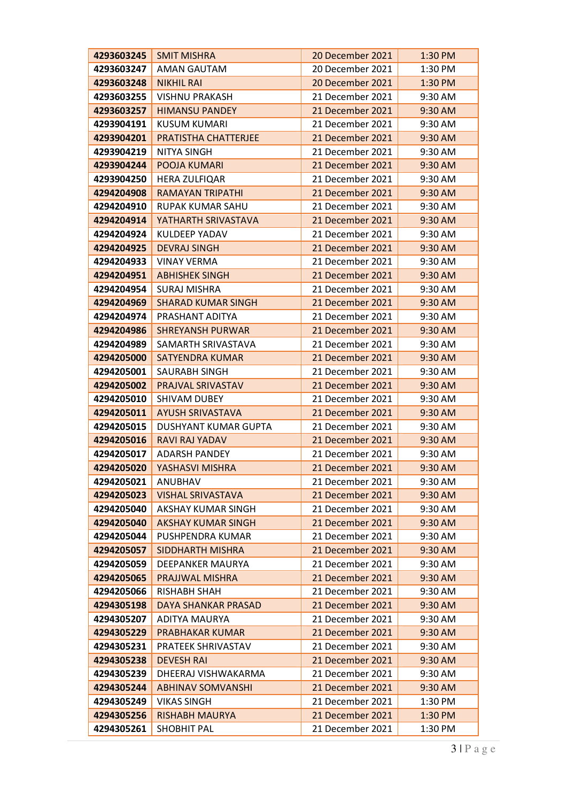| 4293603245               | <b>SMIT MISHRA</b>                              | 20 December 2021                     | 1:30 PM            |
|--------------------------|-------------------------------------------------|--------------------------------------|--------------------|
| 4293603247               | <b>AMAN GAUTAM</b>                              | 20 December 2021                     | 1:30 PM            |
| 4293603248               | <b>NIKHIL RAI</b>                               | 20 December 2021                     | 1:30 PM            |
| 4293603255               | <b>VISHNU PRAKASH</b>                           | 21 December 2021                     | 9:30 AM            |
| 4293603257               | <b>HIMANSU PANDEY</b>                           | 21 December 2021                     | 9:30 AM            |
| 4293904191               | <b>KUSUM KUMARI</b>                             | 21 December 2021                     | 9:30 AM            |
| 4293904201               | PRATISTHA CHATTERJEE                            | 21 December 2021                     | 9:30 AM            |
| 4293904219               | <b>NITYA SINGH</b>                              | 21 December 2021                     | 9:30 AM            |
| 4293904244               | POOJA KUMARI                                    | 21 December 2021                     | 9:30 AM            |
| 4293904250               | <b>HERA ZULFIQAR</b>                            | 21 December 2021                     | 9:30 AM            |
| 4294204908               | <b>RAMAYAN TRIPATHI</b>                         | 21 December 2021                     | 9:30 AM            |
| 4294204910               | RUPAK KUMAR SAHU                                | 21 December 2021                     | 9:30 AM            |
| 4294204914               | YATHARTH SRIVASTAVA                             | 21 December 2021                     | 9:30 AM            |
| 4294204924               | <b>KULDEEP YADAV</b>                            | 21 December 2021                     | 9:30 AM            |
| 4294204925               | <b>DEVRAJ SINGH</b>                             | 21 December 2021                     | 9:30 AM            |
| 4294204933               | <b>VINAY VERMA</b>                              | 21 December 2021                     | 9:30 AM            |
| 4294204951               | <b>ABHISHEK SINGH</b>                           | 21 December 2021                     | 9:30 AM            |
| 4294204954               | <b>SURAJ MISHRA</b>                             | 21 December 2021                     | 9:30 AM            |
| 4294204969               | <b>SHARAD KUMAR SINGH</b>                       | 21 December 2021                     | 9:30 AM            |
| 4294204974               | PRASHANT ADITYA                                 | 21 December 2021                     | 9:30 AM            |
| 4294204986               | <b>SHREYANSH PURWAR</b>                         | 21 December 2021                     | 9:30 AM            |
| 4294204989               | SAMARTH SRIVASTAVA                              | 21 December 2021                     | 9:30 AM            |
| 4294205000               | <b>SATYENDRA KUMAR</b>                          | 21 December 2021                     | 9:30 AM            |
| 4294205001               | <b>SAURABH SINGH</b>                            | 21 December 2021                     | 9:30 AM            |
| 4294205002               | PRAJVAL SRIVASTAV                               | 21 December 2021                     | 9:30 AM            |
| 4294205010               | SHIVAM DUBEY                                    | 21 December 2021                     | 9:30 AM            |
| 4294205011               | <b>AYUSH SRIVASTAVA</b>                         | 21 December 2021                     | 9:30 AM            |
| 4294205015               | <b>DUSHYANT KUMAR GUPTA</b>                     | 21 December 2021                     | 9:30 AM            |
| 4294205016               | <b>RAVI RAJ YADAV</b>                           | 21 December 2021                     | 9:30 AM            |
| 4294205017               | <b>ADARSH PANDEY</b>                            | 21 December 2021                     | 9:30 AM            |
| 4294205020               | YASHASVI MISHRA                                 | 21 December 2021                     | 9:30 AM            |
| 4294205021               | <b>ANUBHAV</b>                                  | 21 December 2021                     | 9:30 AM            |
| 4294205023               | <b>VISHAL SRIVASTAVA</b>                        | 21 December 2021                     | 9:30 AM            |
| 4294205040<br>4294205040 | AKSHAY KUMAR SINGH<br><b>AKSHAY KUMAR SINGH</b> | 21 December 2021<br>21 December 2021 | 9:30 AM<br>9:30 AM |
| 4294205044               | PUSHPENDRA KUMAR                                | 21 December 2021                     | 9:30 AM            |
| 4294205057               | <b>SIDDHARTH MISHRA</b>                         | 21 December 2021                     | 9:30 AM            |
| 4294205059               | DEEPANKER MAURYA                                | 21 December 2021                     | 9:30 AM            |
| 4294205065               | PRAJJWAL MISHRA                                 | 21 December 2021                     | 9:30 AM            |
| 4294205066               | RISHABH SHAH                                    | 21 December 2021                     | 9:30 AM            |
| 4294305198               | <b>DAYA SHANKAR PRASAD</b>                      | 21 December 2021                     | 9:30 AM            |
| 4294305207               | ADITYA MAURYA                                   | 21 December 2021                     | 9:30 AM            |
| 4294305229               | <b>PRABHAKAR KUMAR</b>                          | 21 December 2021                     | 9:30 AM            |
| 4294305231               | PRATEEK SHRIVASTAV                              | 21 December 2021                     | 9:30 AM            |
| 4294305238               | <b>DEVESH RAI</b>                               | 21 December 2021                     | 9:30 AM            |
| 4294305239               | DHEERAJ VISHWAKARMA                             | 21 December 2021                     | 9:30 AM            |
| 4294305244               | <b>ABHINAV SOMVANSHI</b>                        | 21 December 2021                     | 9:30 AM            |
| 4294305249               | <b>VIKAS SINGH</b>                              | 21 December 2021                     | 1:30 PM            |
| 4294305256               | <b>RISHABH MAURYA</b>                           | 21 December 2021                     | 1:30 PM            |
| 4294305261               | SHOBHIT PAL                                     | 21 December 2021                     | 1:30 PM            |